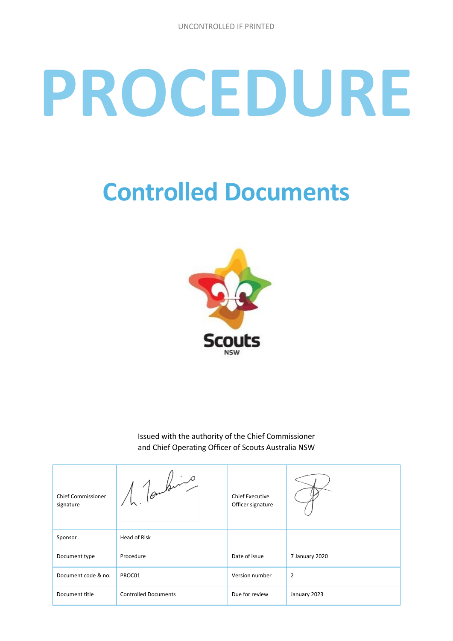# **PROCEDURE**

# **Controlled Documents**



Issued with the authority of the Chief Commissioner and Chief Operating Officer of Scouts Australia NSW

| <b>Chief Commissioner</b><br>signature | $1$ (online)                | <b>Chief Executive</b><br>Officer signature |                |
|----------------------------------------|-----------------------------|---------------------------------------------|----------------|
| Sponsor                                | Head of Risk                |                                             |                |
| Document type                          | Procedure                   | Date of issue                               | 7 January 2020 |
| Document code & no.                    | PROC01                      | Version number                              | $\overline{2}$ |
| Document title                         | <b>Controlled Documents</b> | Due for review                              | January 2023   |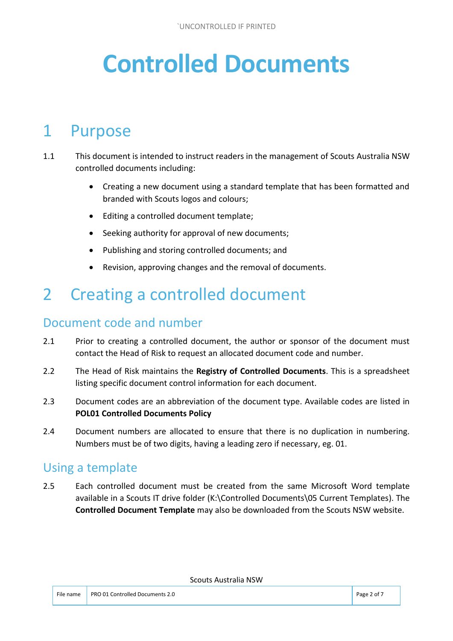# **Controlled Documents**

### 1 Purpose

- 1.1 This document is intended to instruct readers in the management of Scouts Australia NSW controlled documents including:
	- Creating a new document using a standard template that has been formatted and branded with Scouts logos and colours;
	- Editing a controlled document template:
	- Seeking authority for approval of new documents;
	- Publishing and storing controlled documents; and
	- Revision, approving changes and the removal of documents.

# 2 Creating a controlled document

#### Document code and number

- 2.1 Prior to creating a controlled document, the author or sponsor of the document must contact the Head of Risk to request an allocated document code and number.
- 2.2 The Head of Risk maintains the **Registry of Controlled Documents**. This is a spreadsheet listing specific document control information for each document.
- 2.3 Document codes are an abbreviation of the document type. Available codes are listed in **POL01 Controlled Documents Policy**
- 2.4 Document numbers are allocated to ensure that there is no duplication in numbering. Numbers must be of two digits, having a leading zero if necessary, eg. 01.

#### Using a template

2.5 Each controlled document must be created from the same Microsoft Word template available in a Scouts IT drive folder (K:\Controlled Documents\05 Current Templates). The **Controlled Document Template** may also be downloaded from the Scouts NSW website.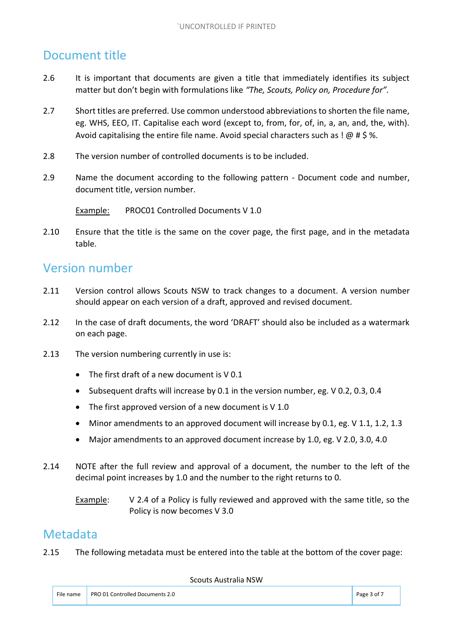#### Document title

- 2.6 It is important that documents are given a title that immediately identifies its subject matter but don't begin with formulations like *"The, Scouts, Policy on, Procedure for".*
- 2.7 Short titles are preferred. Use common understood abbreviations to shorten the file name, eg. WHS, EEO, IT. Capitalise each word (except to, from, for, of, in, a, an, and, the, with). Avoid capitalising the entire file name. Avoid special characters such as !  $@$  # \$ %.
- 2.8 The version number of controlled documents is to be included.
- 2.9 Name the document according to the following pattern Document code and number, document title, version number.

Example: PROC01 Controlled Documents V 1.0

2.10 Ensure that the title is the same on the cover page, the first page, and in the metadata table.

#### Version number

- 2.11 Version control allows Scouts NSW to track changes to a document. A version number should appear on each version of a draft, approved and revised document.
- 2.12 In the case of draft documents, the word 'DRAFT' should also be included as a watermark on each page.
- 2.13 The version numbering currently in use is:
	- The first draft of a new document is V 0.1
	- Subsequent drafts will increase by 0.1 in the version number, eg. V 0.2, 0.3, 0.4
	- The first approved version of a new document is V 1.0
	- Minor amendments to an approved document will increase by 0.1, eg. V 1.1, 1.2, 1.3
	- Major amendments to an approved document increase by 1.0, eg. V 2.0, 3.0, 4.0
- 2.14 NOTE after the full review and approval of a document, the number to the left of the decimal point increases by 1.0 and the number to the right returns to 0.

Example: V 2.4 of a Policy is fully reviewed and approved with the same title, so the Policy is now becomes V 3.0

#### Metadata

2.15 The following metadata must be entered into the table at the bottom of the cover page: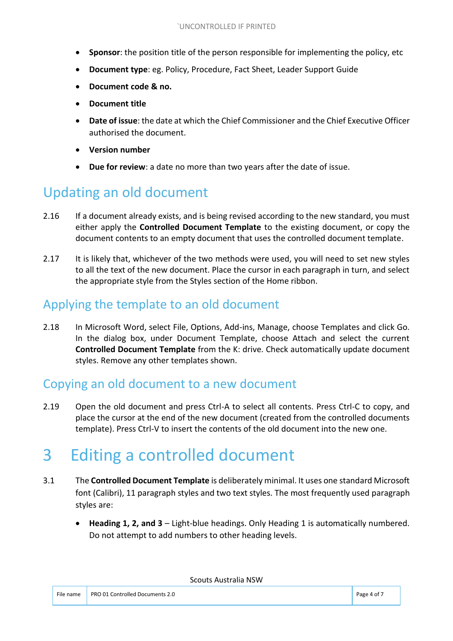- **Sponsor**: the position title of the person responsible for implementing the policy, etc
- **Document type**: eg. Policy, Procedure, Fact Sheet, Leader Support Guide
- **Document code & no.**
- **Document title**
- **Date of issue**: the date at which the Chief Commissioner and the Chief Executive Officer authorised the document.
- **Version number**
- **Due for review**: a date no more than two years after the date of issue.

#### Updating an old document

- 2.16 If a document already exists, and is being revised according to the new standard, you must either apply the **Controlled Document Template** to the existing document, or copy the document contents to an empty document that uses the controlled document template.
- 2.17 It is likely that, whichever of the two methods were used, you will need to set new styles to all the text of the new document. Place the cursor in each paragraph in turn, and select the appropriate style from the Styles section of the Home ribbon.

#### Applying the template to an old document

2.18 In Microsoft Word, select File, Options, Add-ins, Manage, choose Templates and click Go. In the dialog box, under Document Template, choose Attach and select the current **Controlled Document Template** from the K: drive. Check automatically update document styles. Remove any other templates shown.

#### Copying an old document to a new document

2.19 Open the old document and press Ctrl-A to select all contents. Press Ctrl-C to copy, and place the cursor at the end of the new document (created from the controlled documents template). Press Ctrl-V to insert the contents of the old document into the new one.

# 3 Editing a controlled document

- 3.1 The **Controlled Document Template** is deliberately minimal. It uses one standard Microsoft font (Calibri), 11 paragraph styles and two text styles. The most frequently used paragraph styles are:
	- **Heading 1, 2, and 3** Light-blue headings. Only Heading 1 is automatically numbered. Do not attempt to add numbers to other heading levels.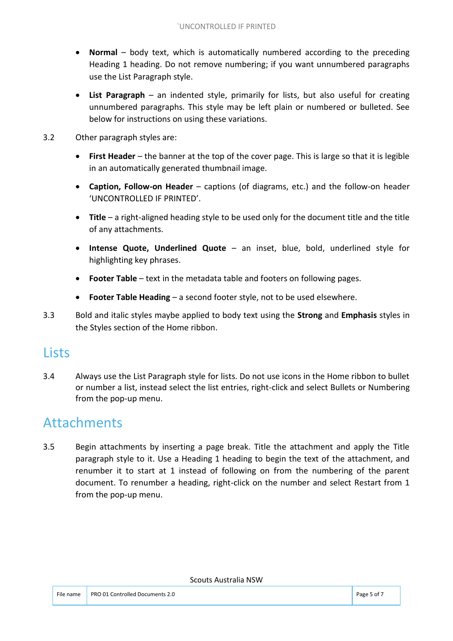- **Normal**  body text, which is automatically numbered according to the preceding Heading 1 heading. Do not remove numbering; if you want unnumbered paragraphs use the List Paragraph style.
- **List Paragraph**  an indented style, primarily for lists, but also useful for creating unnumbered paragraphs. This style may be left plain or numbered or bulleted. See below for instructions on using these variations.
- 3.2 Other paragraph styles are:
	- **First Header** the banner at the top of the cover page. This is large so that it is legible in an automatically generated thumbnail image.
	- **Caption, Follow-on Header** captions (of diagrams, etc.) and the follow-on header 'UNCONTROLLED IF PRINTED'.
	- **Title**  a right-aligned heading style to be used only for the document title and the title of any attachments.
	- **Intense Quote, Underlined Quote**  an inset, blue, bold, underlined style for highlighting key phrases.
	- **Footer Table** text in the metadata table and footers on following pages.
	- **Footer Table Heading**  a second footer style, not to be used elsewhere.
- 3.3 Bold and italic styles maybe applied to body text using the **Strong** and **Emphasis** styles in the Styles section of the Home ribbon.

#### Lists

3.4 Always use the List Paragraph style for lists. Do not use icons in the Home ribbon to bullet or number a list, instead select the list entries, right-click and select Bullets or Numbering from the pop-up menu.

#### Attachments

3.5 Begin attachments by inserting a page break. Title the attachment and apply the Title paragraph style to it. Use a Heading 1 heading to begin the text of the attachment, and renumber it to start at 1 instead of following on from the numbering of the parent document. To renumber a heading, right-click on the number and select Restart from 1 from the pop-up menu.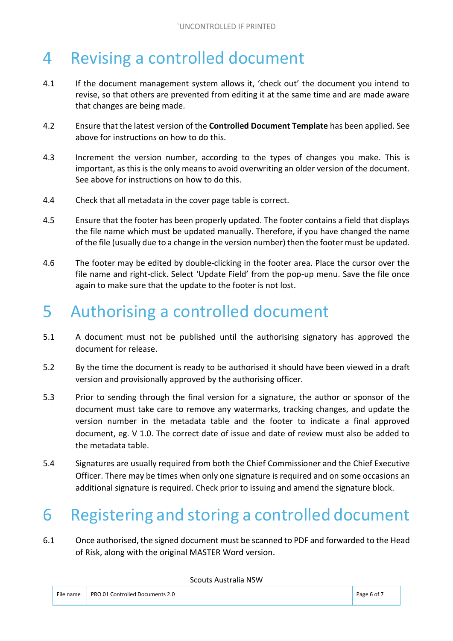# 4 Revising a controlled document

- 4.1 If the document management system allows it, 'check out' the document you intend to revise, so that others are prevented from editing it at the same time and are made aware that changes are being made.
- 4.2 Ensure that the latest version of the **Controlled Document Template** has been applied. See above for instructions on how to do this.
- 4.3 Increment the version number, according to the types of changes you make. This is important, as this is the only means to avoid overwriting an older version of the document. See above for instructions on how to do this.
- 4.4 Check that all metadata in the cover page table is correct.
- 4.5 Ensure that the footer has been properly updated. The footer contains a field that displays the file name which must be updated manually. Therefore, if you have changed the name of the file (usually due to a change in the version number) then the footer must be updated.
- 4.6 The footer may be edited by double-clicking in the footer area. Place the cursor over the file name and right-click. Select 'Update Field' from the pop-up menu. Save the file once again to make sure that the update to the footer is not lost.

## 5 Authorising a controlled document

- 5.1 A document must not be published until the authorising signatory has approved the document for release.
- 5.2 By the time the document is ready to be authorised it should have been viewed in a draft version and provisionally approved by the authorising officer.
- 5.3 Prior to sending through the final version for a signature, the author or sponsor of the document must take care to remove any watermarks, tracking changes, and update the version number in the metadata table and the footer to indicate a final approved document, eg. V 1.0. The correct date of issue and date of review must also be added to the metadata table.
- 5.4 Signatures are usually required from both the Chief Commissioner and the Chief Executive Officer. There may be times when only one signature is required and on some occasions an additional signature is required. Check prior to issuing and amend the signature block.

# 6 Registering and storing a controlled document

6.1 Once authorised, the signed document must be scanned to PDF and forwarded to the Head of Risk, along with the original MASTER Word version.